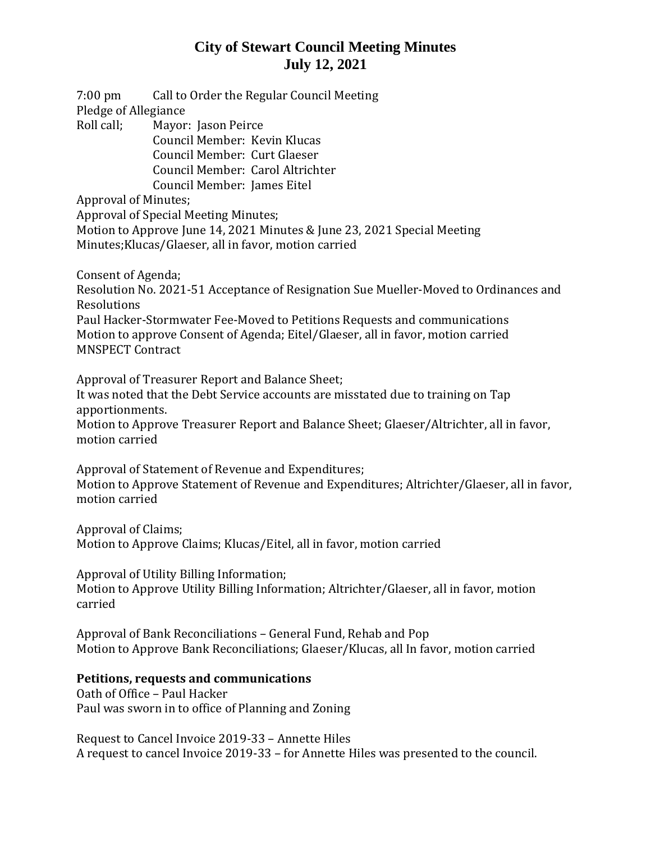7:00 pm Call to Order the Regular Council Meeting Pledge of Allegiance Roll call; Mayor: Jason Peirce Council Member: Kevin Klucas Council Member: Curt Glaeser Council Member: Carol Altrichter

Council Member: James Eitel

Approval of Minutes;

Approval of Special Meeting Minutes;

Motion to Approve June 14, 2021 Minutes & June 23, 2021 Special Meeting Minutes;Klucas/Glaeser, all in favor, motion carried

Consent of Agenda;

Resolution No. 2021-51 Acceptance of Resignation Sue Mueller-Moved to Ordinances and Resolutions

Paul Hacker-Stormwater Fee-Moved to Petitions Requests and communications Motion to approve Consent of Agenda; Eitel/Glaeser, all in favor, motion carried MNSPECT Contract

Approval of Treasurer Report and Balance Sheet; It was noted that the Debt Service accounts are misstated due to training on Tap apportionments. Motion to Approve Treasurer Report and Balance Sheet; Glaeser/Altrichter, all in favor, motion carried

Approval of Statement of Revenue and Expenditures; Motion to Approve Statement of Revenue and Expenditures; Altrichter/Glaeser, all in favor, motion carried

Approval of Claims; Motion to Approve Claims; Klucas/Eitel, all in favor, motion carried

Approval of Utility Billing Information;

Motion to Approve Utility Billing Information; Altrichter/Glaeser, all in favor, motion carried

Approval of Bank Reconciliations – General Fund, Rehab and Pop Motion to Approve Bank Reconciliations; Glaeser/Klucas, all In favor, motion carried

## **Petitions, requests and communications**

Oath of Office – Paul Hacker Paul was sworn in to office of Planning and Zoning

Request to Cancel Invoice 2019-33 – Annette Hiles A request to cancel Invoice 2019-33 – for Annette Hiles was presented to the council.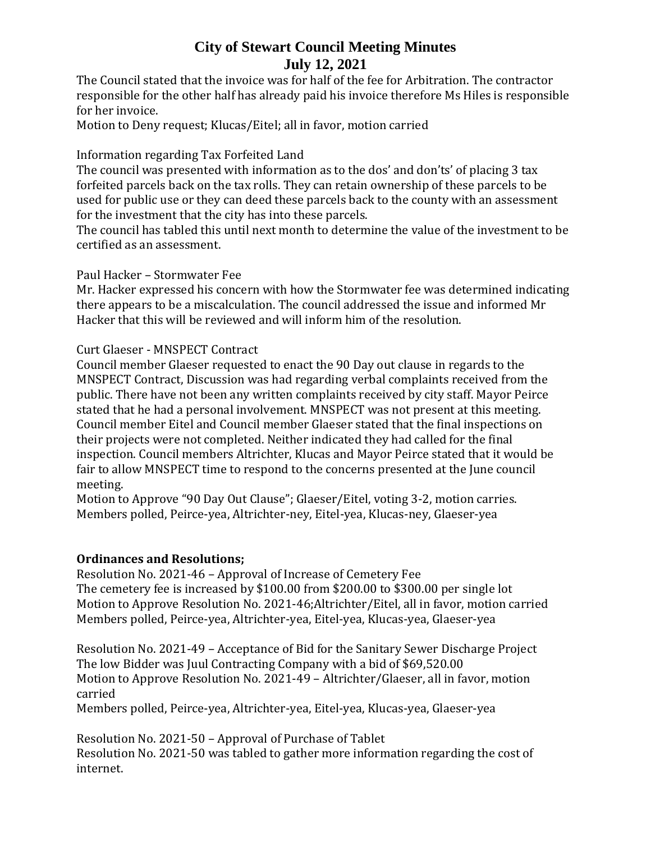The Council stated that the invoice was for half of the fee for Arbitration. The contractor responsible for the other half has already paid his invoice therefore Ms Hiles is responsible for her invoice.

Motion to Deny request; Klucas/Eitel; all in favor, motion carried

Information regarding Tax Forfeited Land

The council was presented with information as to the dos' and don'ts' of placing 3 tax forfeited parcels back on the tax rolls. They can retain ownership of these parcels to be used for public use or they can deed these parcels back to the county with an assessment for the investment that the city has into these parcels.

The council has tabled this until next month to determine the value of the investment to be certified as an assessment.

## Paul Hacker – Stormwater Fee

Mr. Hacker expressed his concern with how the Stormwater fee was determined indicating there appears to be a miscalculation. The council addressed the issue and informed Mr Hacker that this will be reviewed and will inform him of the resolution.

#### Curt Glaeser - MNSPECT Contract

Council member Glaeser requested to enact the 90 Day out clause in regards to the MNSPECT Contract, Discussion was had regarding verbal complaints received from the public. There have not been any written complaints received by city staff. Mayor Peirce stated that he had a personal involvement. MNSPECT was not present at this meeting. Council member Eitel and Council member Glaeser stated that the final inspections on their projects were not completed. Neither indicated they had called for the final inspection. Council members Altrichter, Klucas and Mayor Peirce stated that it would be fair to allow MNSPECT time to respond to the concerns presented at the June council meeting.

Motion to Approve "90 Day Out Clause"; Glaeser/Eitel, voting 3-2, motion carries. Members polled, Peirce-yea, Altrichter-ney, Eitel-yea, Klucas-ney, Glaeser-yea

## **Ordinances and Resolutions;**

Resolution No. 2021-46 – Approval of Increase of Cemetery Fee The cemetery fee is increased by \$100.00 from \$200.00 to \$300.00 per single lot Motion to Approve Resolution No. 2021-46;Altrichter/Eitel, all in favor, motion carried Members polled, Peirce-yea, Altrichter-yea, Eitel-yea, Klucas-yea, Glaeser-yea

Resolution No. 2021-49 – Acceptance of Bid for the Sanitary Sewer Discharge Project The low Bidder was Juul Contracting Company with a bid of \$69,520.00 Motion to Approve Resolution No. 2021-49 – Altrichter/Glaeser, all in favor, motion carried

Members polled, Peirce-yea, Altrichter-yea, Eitel-yea, Klucas-yea, Glaeser-yea

Resolution No. 2021-50 – Approval of Purchase of Tablet Resolution No. 2021-50 was tabled to gather more information regarding the cost of internet.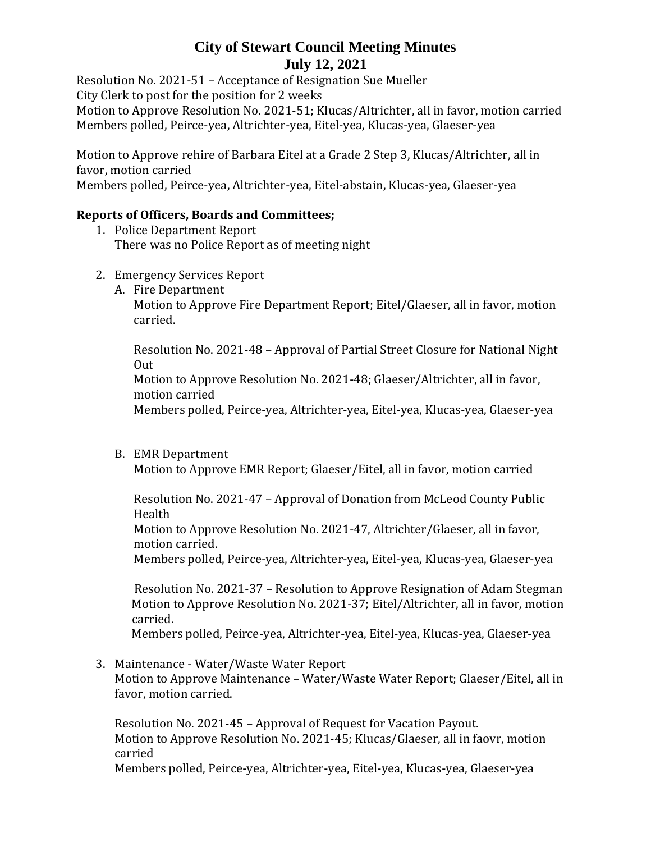Resolution No. 2021-51 – Acceptance of Resignation Sue Mueller City Clerk to post for the position for 2 weeks Motion to Approve Resolution No. 2021-51; Klucas/Altrichter, all in favor, motion carried Members polled, Peirce-yea, Altrichter-yea, Eitel-yea, Klucas-yea, Glaeser-yea

Motion to Approve rehire of Barbara Eitel at a Grade 2 Step 3, Klucas/Altrichter, all in favor, motion carried Members polled, Peirce-yea, Altrichter-yea, Eitel-abstain, Klucas-yea, Glaeser-yea

## **Reports of Officers, Boards and Committees;**

- 1. Police Department Report There was no Police Report as of meeting night
- 2. Emergency Services Report
	- A. Fire Department

Motion to Approve Fire Department Report; Eitel/Glaeser, all in favor, motion carried.

Resolution No. 2021-48 – Approval of Partial Street Closure for National Night Out

Motion to Approve Resolution No. 2021-48; Glaeser/Altrichter, all in favor, motion carried

Members polled, Peirce-yea, Altrichter-yea, Eitel-yea, Klucas-yea, Glaeser-yea

B. EMR Department

Motion to Approve EMR Report; Glaeser/Eitel, all in favor, motion carried

Resolution No. 2021-47 – Approval of Donation from McLeod County Public Health

Motion to Approve Resolution No. 2021-47, Altrichter/Glaeser, all in favor, motion carried.

Members polled, Peirce-yea, Altrichter-yea, Eitel-yea, Klucas-yea, Glaeser-yea

 Resolution No. 2021-37 – Resolution to Approve Resignation of Adam Stegman Motion to Approve Resolution No. 2021-37; Eitel/Altrichter, all in favor, motion carried.

Members polled, Peirce-yea, Altrichter-yea, Eitel-yea, Klucas-yea, Glaeser-yea

3. Maintenance - Water/Waste Water Report Motion to Approve Maintenance – Water/Waste Water Report; Glaeser/Eitel, all in favor, motion carried.

Resolution No. 2021-45 – Approval of Request for Vacation Payout. Motion to Approve Resolution No. 2021-45; Klucas/Glaeser, all in faovr, motion carried

Members polled, Peirce-yea, Altrichter-yea, Eitel-yea, Klucas-yea, Glaeser-yea